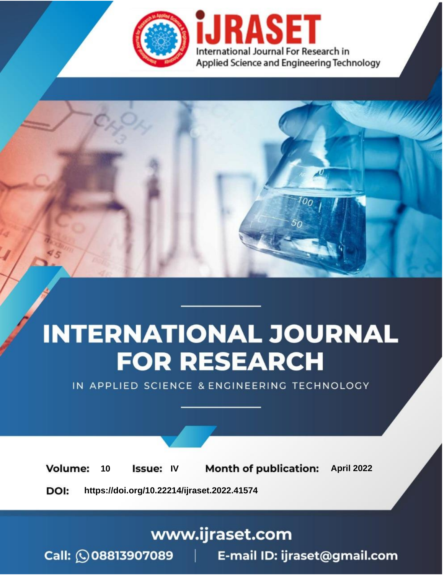

# **INTERNATIONAL JOURNAL FOR RESEARCH**

IN APPLIED SCIENCE & ENGINEERING TECHNOLOGY

10 **Issue: IV Month of publication:** April 2022 **Volume:** 

**https://doi.org/10.22214/ijraset.2022.41574**DOI:

www.ijraset.com

Call: 008813907089 | E-mail ID: ijraset@gmail.com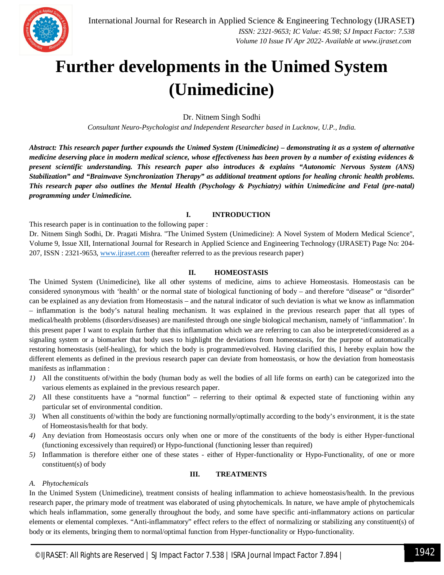

## **Further developments in the Unimed System (Unimedicine)**

Dr. Nitnem Singh Sodhi

*Consultant Neuro-Psychologist and Independent Researcher based in Lucknow, U.P., India.*

*Abstract: This research paper further expounds the Unimed System (Unimedicine) – demonstrating it as a system of alternative medicine deserving place in modern medical science, whose effectiveness has been proven by a number of existing evidences & present scientific understanding. This research paper also introduces & explains "Autonomic Nervous System (ANS) Stabilization" and "Brainwave Synchronization Therapy" as additional treatment options for healing chronic health problems. This research paper also outlines the Mental Health (Psychology & Psychiatry) within Unimedicine and Fetal (pre-natal) programming under Unimedicine.*

## **I. INTRODUCTION**

This research paper is in continuation to the following paper :

Dr. Nitnem Singh Sodhi, Dr. Pragati Mishra. "The Unimed System (Unimedicine): A Novel System of Modern Medical Science", Volume 9, Issue XII, International Journal for Research in Applied Science and Engineering Technology (IJRASET) Page No: 204- 207, ISSN : 2321-9653, www.ijraset.com (hereafter referred to as the previous research paper)

## **II. HOMEOSTASIS**

The Unimed System (Unimedicine), like all other systems of medicine, aims to achieve Homeostasis. Homeostasis can be considered synonymous with 'health' or the normal state of biological functioning of body – and therefore "disease" or "disorder" can be explained as any deviation from Homeostasis – and the natural indicator of such deviation is what we know as inflammation – inflammation is the body's natural healing mechanism. It was explained in the previous research paper that all types of medical/health problems (disorders/diseases) are manifested through one single biological mechanism, namely of 'inflammation'. In this present paper I want to explain further that this inflammation which we are referring to can also be interpreted/considered as a signaling system or a biomarker that body uses to highlight the deviations from homeostasis, for the purpose of automatically restoring homeostasis (self-healing), for which the body is programmed/evolved. Having clarified this, I hereby explain how the different elements as defined in the previous research paper can deviate from homeostasis, or how the deviation from homeostasis manifests as inflammation :

- *1)* All the constituents of/within the body (human body as well the bodies of all life forms on earth) can be categorized into the various elements as explained in the previous research paper.
- *2)* All these constituents have a "normal function" referring to their optimal & expected state of functioning within any particular set of environmental condition.
- *3*) When all constituents of/within the body are functioning normally/optimally according to the body's environment, it is the state of Homeostasis/health for that body.
- *4)* Any deviation from Homeostasis occurs only when one or more of the constituents of the body is either Hyper-functional (functioning excessively than required) or Hypo-functional (functioning lesser than required)
- *5)* Inflammation is therefore either one of these states either of Hyper-functionality or Hypo-Functionality, of one or more constituent(s) of body

## **III. TREATMENTS**

## *A. Phytochemicals*

In the Unimed System (Unimedicine), treatment consists of healing inflammation to achieve homeostasis/health. In the previous research paper, the primary mode of treatment was elaborated of using phytochemicals. In nature, we have ample of phytochemicals which heals inflammation, some generally throughout the body, and some have specific anti-inflammatory actions on particular elements or elemental complexes. "Anti-inflammatory" effect refers to the effect of normalizing or stabilizing any constituent(s) of body or its elements, bringing them to normal/optimal function from Hyper-functionality or Hypo-functionality.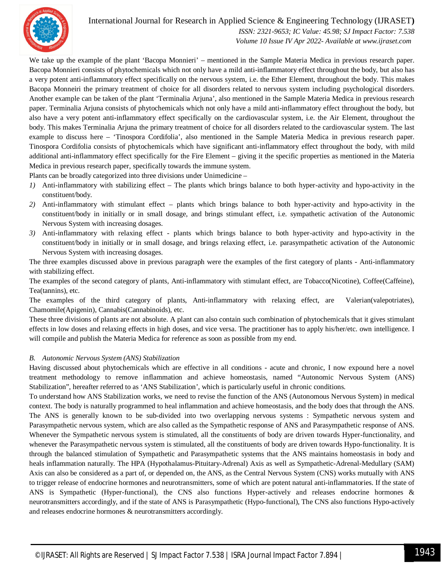

International Journal for Research in Applied Science & Engineering Technology (IJRASET**)**

 *ISSN: 2321-9653; IC Value: 45.98; SJ Impact Factor: 7.538 Volume 10 Issue IV Apr 2022- Available at www.ijraset.com*

We take up the example of the plant 'Bacopa Monnieri' – mentioned in the Sample Materia Medica in previous research paper. Bacopa Monnieri consists of phytochemicals which not only have a mild anti-inflammatory effect throughout the body, but also has a very potent anti-inflammatory effect specifically on the nervous system, i.e. the Ether Element, throughout the body. This makes Bacopa Monneiri the primary treatment of choice for all disorders related to nervous system including psychological disorders. Another example can be taken of the plant 'Terminalia Arjuna', also mentioned in the Sample Materia Medica in previous research paper. Terminalia Arjuna consists of phytochemicals which not only have a mild anti-inflammatory effect throughout the body, but also have a very potent anti-inflammatory effect specifically on the cardiovascular system, i.e. the Air Element, throughout the body. This makes Terminalia Arjuna the primary treatment of choice for all disorders related to the cardiovascular system. The last example to discuss here – 'Tinospora Cordifolia', also mentioned in the Sample Materia Medica in previous research paper. Tinospora Cordifolia consists of phytochemicals which have significant anti-inflammatory effect throughout the body, with mild additional anti-inflammatory effect specifically for the Fire Element – giving it the specific properties as mentioned in the Materia Medica in previous research paper, specifically towards the immune system.

Plants can be broadly categorized into three divisions under Unimedicine –

- *1)* Anti-inflammatory with stabilizing effect The plants which brings balance to both hyper-activity and hypo-activity in the constituent/body.
- *2)* Anti-inflammatory with stimulant effect plants which brings balance to both hyper-activity and hypo-activity in the constituent/body in initially or in small dosage, and brings stimulant effect, i.e. sympathetic activation of the Autonomic Nervous System with increasing dosages.
- *3)* Anti-inflammatory with relaxing effect plants which brings balance to both hyper-activity and hypo-activity in the constituent/body in initially or in small dosage, and brings relaxing effect, i.e. parasympathetic activation of the Autonomic Nervous System with increasing dosages.

The three examples discussed above in previous paragraph were the examples of the first category of plants - Anti-inflammatory with stabilizing effect.

The examples of the second category of plants, Anti-inflammatory with stimulant effect, are Tobacco(Nicotine), Coffee(Caffeine), Tea(tannins), etc.

The examples of the third category of plants, Anti-inflammatory with relaxing effect, are Valerian(valepotriates), Chamomile(Apigenin), Cannabis(Cannabinoids), etc.

These three divisions of plants are not absolute. A plant can also contain such combination of phytochemicals that it gives stimulant effects in low doses and relaxing effects in high doses, and vice versa. The practitioner has to apply his/her/etc. own intelligence. I will compile and publish the Materia Medica for reference as soon as possible from my end.

## *B. Autonomic Nervous System (ANS) Stabilization*

Having discussed about phytochemicals which are effective in all conditions - acute and chronic, I now expound here a novel treatment methodology to remove inflammation and achieve homeostasis, named "Autonomic Nervous System (ANS) Stabilization", hereafter referred to as 'ANS Stabilization', which is particularly useful in chronic conditions.

To understand how ANS Stabilization works, we need to revise the function of the ANS (Autonomous Nervous System) in medical context. The body is naturally programmed to heal inflammation and achieve homeostasis, and the body does that through the ANS. The ANS is generally known to be sub-divided into two overlapping nervous systems : Sympathetic nervous system and Parasympathetic nervous system, which are also called as the Sympathetic response of ANS and Parasympathetic response of ANS. Whenever the Sympathetic nervous system is stimulated, all the constituents of body are driven towards Hyper-functionality, and whenever the Parasympathetic nervous system is stimulated, all the constituents of body are driven towards Hypo-functionality. It is through the balanced stimulation of Sympathetic and Parasympathetic systems that the ANS maintains homeostasis in body and heals inflammation naturally. The HPA (Hypothalamus-Pituitary-Adrenal) Axis as well as Sympathetic-Adrenal-Medullary (SAM) Axis can also be considered as a part of, or depended on, the ANS, as the Central Nervous System (CNS) works mutually with ANS to trigger release of endocrine hormones and neurotransmitters, some of which are potent natural anti-inflammatories. If the state of ANS is Sympathetic (Hyper-functional), the CNS also functions Hyper-actively and releases endocrine hormones & neurotransmitters accordingly, and if the state of ANS is Parasympathetic (Hypo-functional), The CNS also functions Hypo-actively and releases endocrine hormones & neurotransmitters accordingly.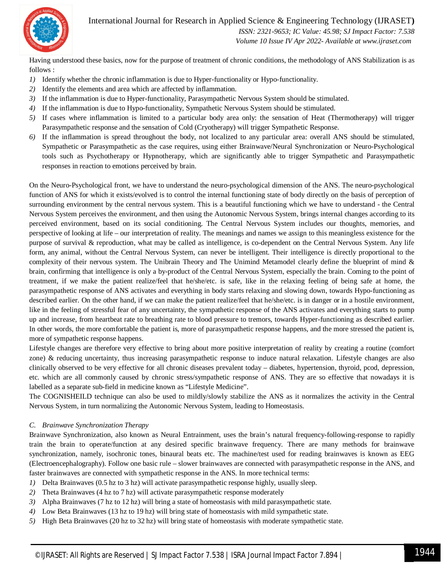

## International Journal for Research in Applied Science & Engineering Technology (IJRASET**)**

 *ISSN: 2321-9653; IC Value: 45.98; SJ Impact Factor: 7.538 Volume 10 Issue IV Apr 2022- Available at www.ijraset.com*

Having understood these basics, now for the purpose of treatment of chronic conditions, the methodology of ANS Stabilization is as follows :

- *1)* Identify whether the chronic inflammation is due to Hyper-functionality or Hypo-functionality.
- *2)* Identify the elements and area which are affected by inflammation.
- *3)* If the inflammation is due to Hyper-functionality, Parasympathetic Nervous System should be stimulated.
- *4)* If the inflammation is due to Hypo-functionality, Sympathetic Nervous System should be stimulated.
- *5)* If cases where inflammation is limited to a particular body area only: the sensation of Heat (Thermotherapy) will trigger Parasympathetic response and the sensation of Cold (Cryotherapy) will trigger Sympathetic Response.
- *6)* If the inflammation is spread throughout the body, not localized to any particular area: overall ANS should be stimulated, Sympathetic or Parasympathetic as the case requires, using either Brainwave/Neural Synchronization or Neuro-Psychological tools such as Psychotherapy or Hypnotherapy, which are significantly able to trigger Sympathetic and Parasympathetic responses in reaction to emotions perceived by brain.

On the Neuro-Psychological front, we have to understand the neuro-psychological dimension of the ANS. The neuro-psychological function of ANS for which it exists/evolved is to control the internal functioning state of body directly on the basis of perception of surrounding environment by the central nervous system. This is a beautiful functioning which we have to understand - the Central Nervous System perceives the environment, and then using the Autonomic Nervous System, brings internal changes according to its perceived environment, based on its social conditioning. The Central Nervous System includes our thoughts, memories, and perspective of looking at life – our interpretation of reality. The meanings and names we assign to this meaningless existence for the purpose of survival & reproduction, what may be called as intelligence, is co-dependent on the Central Nervous System. Any life form, any animal, without the Central Nervous System, can never be intelligent. Their intelligence is directly proportional to the complexity of their nervous system. The Unibrain Theory and The Unimind Metamodel clearly define the blueprint of mind & brain, confirming that intelligence is only a by-product of the Central Nervous System, especially the brain. Coming to the point of treatment, if we make the patient realize/feel that he/she/etc. is safe, like in the relaxing feeling of being safe at home, the parasympathetic response of ANS activates and everything in body starts relaxing and slowing down, towards Hypo-functioning as described earlier. On the other hand, if we can make the patient realize/feel that he/she/etc. is in danger or in a hostile environment, like in the feeling of stressful fear of any uncertainty, the sympathetic response of the ANS activates and everything starts to pump up and increase, from heartbeat rate to breathing rate to blood pressure to tremors, towards Hyper-functioning as described earlier. In other words, the more comfortable the patient is, more of parasympathetic response happens, and the more stressed the patient is, more of sympathetic response happens.

Lifestyle changes are therefore very effective to bring about more positive interpretation of reality by creating a routine (comfort zone) & reducing uncertainty, thus increasing parasympathetic response to induce natural relaxation. Lifestyle changes are also clinically observed to be very effective for all chronic diseases prevalent today – diabetes, hypertension, thyroid, pcod, depression, etc. which are all commonly caused by chronic stress/sympathetic response of ANS. They are so effective that nowadays it is labelled as a separate sub-field in medicine known as "Lifestyle Medicine".

The COGNISHEILD technique can also be used to mildly/slowly stabilize the ANS as it normalizes the activity in the Central Nervous System, in turn normalizing the Autonomic Nervous System, leading to Homeostasis.

## *C. Brainwave Synchronization Therapy*

Brainwave Synchronization, also known as Neural Entrainment, uses the brain's natural frequency-following-response to rapidly train the brain to operate/function at any desired specific brainwave frequency. There are many methods for brainwave synchronization, namely, isochronic tones, binaural beats etc. The machine/test used for reading brainwaves is known as EEG (Electroencephalography). Follow one basic rule – slower brainwaves are connected with parasympathetic response in the ANS, and faster brainwaves are connected with sympathetic response in the ANS. In more technical terms:

- *1*) Delta Brainwaves (0.5 hz to 3 hz) will activate parasympathetic response highly, usually sleep.
- *2)* Theta Brainwaves (4 hz to 7 hz) will activate parasympathetic response moderately
- *3)* Alpha Brainwaves (7 hz to 12 hz) will bring a state of homeostasis with mild parasympathetic state.
- *4)* Low Beta Brainwaves (13 hz to 19 hz) will bring state of homeostasis with mild sympathetic state.
- *5)* High Beta Brainwaves (20 hz to 32 hz) will bring state of homeostasis with moderate sympathetic state.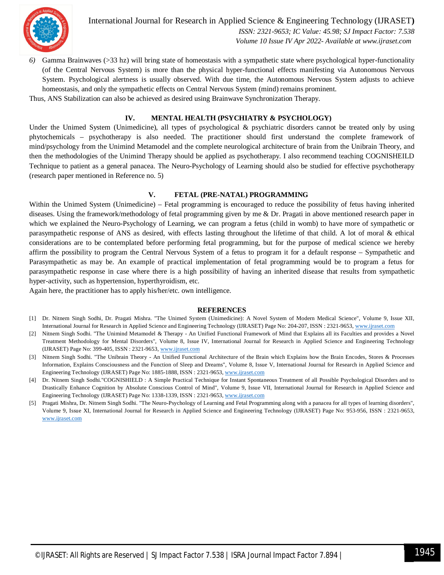

International Journal for Research in Applied Science & Engineering Technology (IJRASET**)**  *ISSN: 2321-9653; IC Value: 45.98; SJ Impact Factor: 7.538 Volume 10 Issue IV Apr 2022- Available at www.ijraset.com*

*6)* Gamma Brainwaves (>33 hz) will bring state of homeostasis with a sympathetic state where psychological hyper-functionality (of the Central Nervous System) is more than the physical hyper-functional effects manifesting via Autonomous Nervous System. Psychological alertness is usually observed. With due time, the Autonomous Nervous System adjusts to achieve homeostasis, and only the sympathetic effects on Central Nervous System (mind) remains prominent.

Thus, ANS Stabilization can also be achieved as desired using Brainwave Synchronization Therapy.

## **IV. MENTAL HEALTH (PSYCHIATRY & PSYCHOLOGY)**

Under the Unimed System (Unimedicine), all types of psychological & psychiatric disorders cannot be treated only by using phytochemicals – psychotherapy is also needed. The practitioner should first understand the complete framework of mind/psychology from the Unimind Metamodel and the complete neurological architecture of brain from the Unibrain Theory, and then the methodologies of the Unimind Therapy should be applied as psychotherapy. I also recommend teaching COGNISHEILD Technique to patient as a general panacea. The Neuro-Psychology of Learning should also be studied for effective psychotherapy (research paper mentioned in Reference no. 5)

## **V. FETAL (PRE-NATAL) PROGRAMMING**

Within the Unimed System (Unimedicine) – Fetal programming is encouraged to reduce the possibility of fetus having inherited diseases. Using the framework/methodology of fetal programming given by me & Dr. Pragati in above mentioned research paper in which we explained the Neuro-Psychology of Learning, we can program a fetus (child in womb) to have more of sympathetic or parasympathetic response of ANS as desired, with effects lasting throughout the lifetime of that child. A lot of moral & ethical considerations are to be contemplated before performing fetal programming, but for the purpose of medical science we hereby affirm the possibility to program the Central Nervous System of a fetus to program it for a default response – Sympathetic and Parasympathetic as may be. An example of practical implementation of fetal programming would be to program a fetus for parasympathetic response in case where there is a high possibility of having an inherited disease that results from sympathetic hyper-activity, such as hypertension, hyperthyroidism, etc.

Again here, the practitioner has to apply his/her/etc. own intelligence.

#### **REFERENCES**

- [1] Dr. Nitnem Singh Sodhi, Dr. Pragati Mishra. "The Unimed System (Unimedicine): A Novel System of Modern Medical Science", Volume 9, Issue XII, International Journal for Research in Applied Science and Engineering Technology (IJRASET) Page No: 204-207, ISSN : 2321-9653, www.ijraset.com
- [2] Nitnem Singh Sodhi. "The Unimind Metamodel & Therapy An Unified Functional Framework of Mind that Explains all its Faculties and provides a Novel Treatment Methodology for Mental Disorders", Volume 8, Issue IV, International Journal for Research in Applied Science and Engineering Technology (IJRASET) Page No: 399-405, ISSN : 2321-9653, www.ijraset.com
- [3] Nitnem Singh Sodhi. "The Unibrain Theory An Unified Functional Architecture of the Brain which Explains how the Brain Encodes, Stores & Processes Information, Explains Consciousness and the Function of Sleep and Dreams", Volume 8, Issue V, International Journal for Research in Applied Science and Engineering Technology (IJRASET) Page No: 1885-1888, ISSN : 2321-9653, www.ijraset.com
- [4] Dr. Nitnem Singh Sodhi."COGNISHIELD : A Simple Practical Technique for Instant Spontaneous Treatment of all Possible Psychological Disorders and to Drastically Enhance Cognition by Absolute Conscious Control of Mind", Volume 9, Issue VII, International Journal for Research in Applied Science and Engineering Technology (IJRASET) Page No: 1338-1339, ISSN : 2321-9653, www.ijraset.com
- [5] Pragati Mishra, Dr. Nitnem Singh Sodhi. "The Neuro-Psychology of Learning and Fetal Programming along with a panacea for all types of learning disorders", Volume 9, Issue XI, International Journal for Research in Applied Science and Engineering Technology (IJRASET) Page No: 953-956, ISSN : 2321-9653, www.ijraset.com